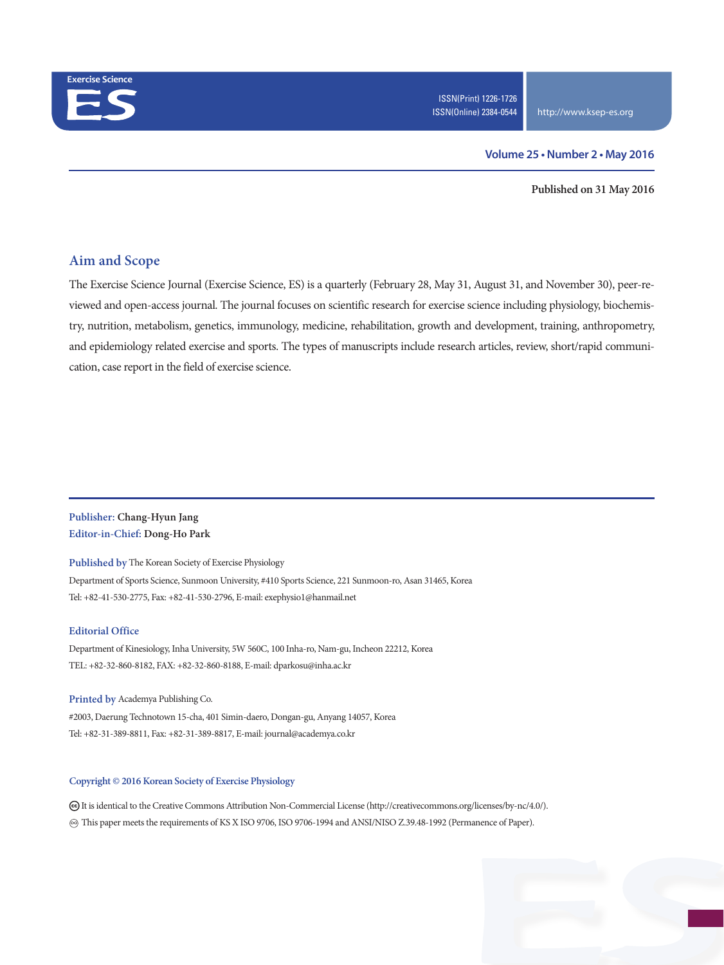

#### **Volume 25 • Number 2 • May 2016**

**Published on 31 May 2016**

### **Aim and Scope**

The Exercise Science Journal (Exercise Science, ES) is a quarterly (February 28, May 31, August 31, and November 30), peer-reviewed and open-access journal. The journal focuses on scientific research for exercise science including physiology, biochemistry, nutrition, metabolism, genetics, immunology, medicine, rehabilitation, growth and development, training, anthropometry, and epidemiology related exercise and sports. The types of manuscripts include research articles, review, short/rapid communication, case report in the field of exercise science.

### **Publisher: Chang-Hyun Jang Editor-in-Chief: Dong-Ho Park**

**Published by** The Korean Society of Exercise Physiology

Department of Sports Science, Sunmoon University, #410 Sports Science, 221 Sunmoon-ro, Asan 31465, Korea Tel: +82-41-530-2775, Fax: +82-41-530-2796, E-mail: exephysio1@hanmail.net

#### **Editorial Office**

Department of Kinesiology, Inha University, 5W 560C, 100 Inha-ro, Nam-gu, Incheon 22212, Korea TEL: +82-32-860-8182, FAX: +82-32-860-8188, E-mail: dparkosu@inha.ac.kr

**Printed by** Academya Publishing Co. #2003, Daerung Technotown 15-cha, 401 Simin-daero, Dongan-gu, Anyang 14057, Korea Tel: +82-31-389-8811, Fax: +82-31-389-8817, E-mail: journal@academya.co.kr

#### **Copyright © 2016 Korean Society of Exercise Physiology**

 It is identical to the Creative Commons Attribution Non-Commercial License (http://creativecommons.org/licenses/by-nc/4.0/). ∞ This paper meets the requirements of KS X ISO 9706, ISO 9706-1994 and ANSI/NISO Z.39.48-1992 (Permanence of Paper).

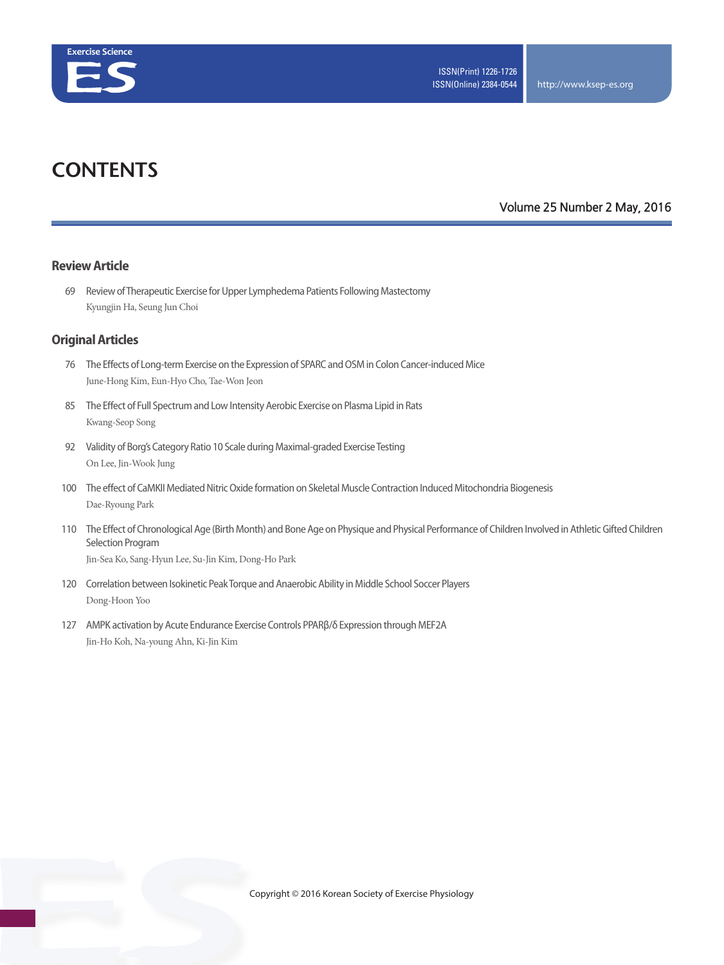

# **CONTENTS**

## **Volume 25 Number 2 May, 2016**

#### **Review Article**

 69 Review of Therapeutic Exercise for Upper Lymphedema Patients Following Mastectomy Kyungjin Ha, Seung Jun Choi

#### **Original Articles**

- 76 The Effects of Long-term Exercise on the Expression of SPARC and OSM in Colon Cancer-induced Mice June-Hong Kim, Eun-Hyo Cho, Tae-Won Jeon
- 85 The Effect of Full Spectrum and Low Intensity Aerobic Exercise on Plasma Lipid in Rats Kwang-Seop Song
- 92 Validity of Borg's Category Ratio 10 Scale during Maximal-graded Exercise Testing On Lee, Jin-Wook Jung
- 100 The effect of CaMKII Mediated Nitric Oxide formation on Skeletal Muscle Contraction Induced Mitochondria Biogenesis Dae-Ryoung Park
- 110 The Effect of Chronological Age (Birth Month) and Bone Age on Physique and Physical Performance of Children Involved in Athletic Gifted Children Selection Program

Jin-Sea Ko, Sang-Hyun Lee, Su-Jin Kim, Dong-Ho Park

- 120 Correlation between Isokinetic Peak Torque and Anaerobic Ability in Middle School Soccer Players Dong-Hoon Yoo
- 127 AMPK activation by Acute Endurance Exercise Controls PPARβ/δ Expression through MEF2A Jin-Ho Koh, Na-young Ahn, Ki-Jin Kim